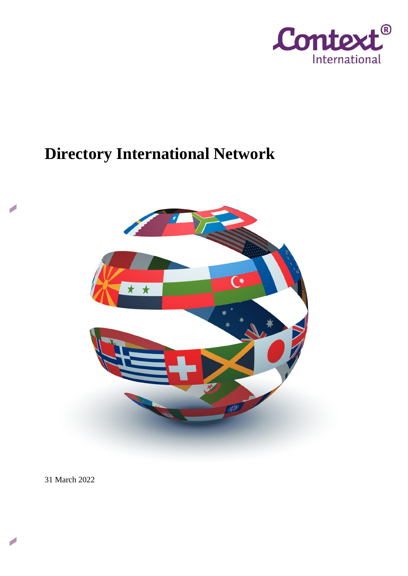

# **Directory International Network**



31 March 2022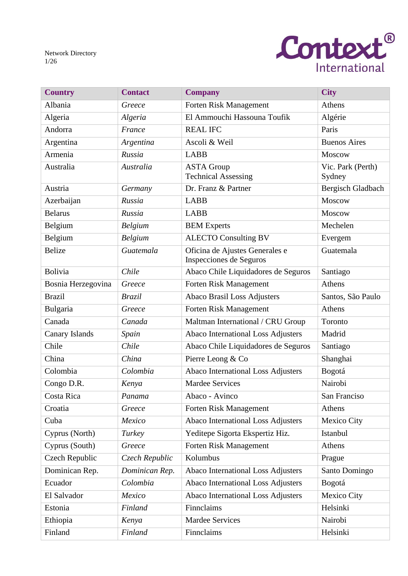Network Directory 1/26



| <b>Country</b>     | <b>Contact</b> | <b>Company</b>                                            | <b>City</b>                 |
|--------------------|----------------|-----------------------------------------------------------|-----------------------------|
| Albania            | Greece         | Forten Risk Management                                    | Athens                      |
| Algeria            | Algeria        | El Ammouchi Hassouna Toufik                               | Algérie                     |
| Andorra            | France         | <b>REAL IFC</b>                                           | Paris                       |
| Argentina          | Argentina      | Ascoli & Weil                                             | <b>Buenos Aires</b>         |
| Armenia            | Russia         | <b>LABB</b>                                               | Moscow                      |
| Australia          | Australia      | <b>ASTA Group</b><br><b>Technical Assessing</b>           | Vic. Park (Perth)<br>Sydney |
| Austria            | Germany        | Dr. Franz & Partner                                       | Bergisch Gladbach           |
| Azerbaijan         | Russia         | <b>LABB</b>                                               | Moscow                      |
| <b>Belarus</b>     | Russia         | <b>LABB</b>                                               | Moscow                      |
| Belgium            | <b>Belgium</b> | <b>BEM</b> Experts                                        | Mechelen                    |
| Belgium            | Belgium        | <b>ALECTO Consulting BV</b>                               | Evergem                     |
| <b>Belize</b>      | Guatemala      | Oficina de Ajustes Generales e<br>Inspecciones de Seguros | Guatemala                   |
| <b>Bolivia</b>     | Chile          | Abaco Chile Liquidadores de Seguros                       | Santiago                    |
| Bosnia Herzegovina | Greece         | <b>Forten Risk Management</b>                             | Athens                      |
| <b>Brazil</b>      | <b>Brazil</b>  | <b>Abaco Brasil Loss Adjusters</b>                        | Santos, São Paulo           |
| Bulgaria           | Greece         | Forten Risk Management                                    | Athens                      |
| Canada             | Canada         | Maltman International / CRU Group                         | Toronto                     |
| Canary Islands     | Spain          | Abaco International Loss Adjusters                        | Madrid                      |
| Chile              | Chile          | Abaco Chile Liquidadores de Seguros                       | Santiago                    |
| China              | China          | Pierre Leong & Co                                         | Shanghai                    |
| Colombia           | Colombia       | Abaco International Loss Adjusters                        | Bogotá                      |
| Congo D.R.         | Kenya          | <b>Mardee Services</b>                                    | Nairobi                     |
| Costa Rica         | Panama         | Abaco - Avinco                                            | San Franciso                |
| Croatia            | Greece         | Forten Risk Management                                    | Athens                      |
| Cuba               | Mexico         | <b>Abaco International Loss Adjusters</b>                 | Mexico City                 |
| Cyprus (North)     | Turkey         | Yeditepe Sigorta Ekspertiz Hiz.                           | Istanbul                    |
| Cyprus (South)     | Greece         | Forten Risk Management                                    | Athens                      |
| Czech Republic     | Czech Republic | Kolumbus                                                  | Prague                      |
| Dominican Rep.     | Dominican Rep. | <b>Abaco International Loss Adjusters</b>                 | Santo Domingo               |
| Ecuador            | Colombia       | Abaco International Loss Adjusters                        | Bogotá                      |
| El Salvador        | Mexico         | <b>Abaco International Loss Adjusters</b>                 | Mexico City                 |
| Estonia            | Finland        | Finnclaims                                                | Helsinki                    |
| Ethiopia           | Kenya          | <b>Mardee Services</b>                                    | Nairobi                     |
| Finland            | Finland        | Finnclaims                                                | Helsinki                    |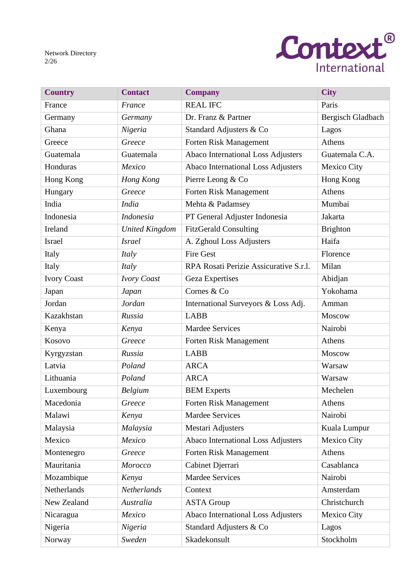Network Directory 2/26



| <b>Country</b>     | <b>Contact</b>        | <b>Company</b>                            | <b>City</b>        |
|--------------------|-----------------------|-------------------------------------------|--------------------|
| France             | France                | <b>REAL IFC</b>                           | Paris              |
| Germany            | Germany               | Dr. Franz & Partner                       | Bergisch Gladbach  |
| Ghana              | Nigeria               | Standard Adjusters & Co                   | Lagos              |
| Greece             | Greece                | Forten Risk Management                    | Athens             |
| Guatemala          | Guatemala             | <b>Abaco International Loss Adjusters</b> | Guatemala C.A.     |
| Honduras           | Mexico                | Abaco International Loss Adjusters        | Mexico City        |
| Hong Kong          | Hong Kong             | Pierre Leong & Co                         | Hong Kong          |
| Hungary            | Greece                | Forten Risk Management                    | Athens             |
| India              | <b>India</b>          | Mehta & Padamsey                          | Mumbai             |
| Indonesia          | <b>Indonesia</b>      | PT General Adjuster Indonesia             | Jakarta            |
| Ireland            | <b>United Kingdom</b> | <b>FitzGerald Consulting</b>              | <b>Brighton</b>    |
| <b>Israel</b>      | <i>Israel</i>         | A. Zghoul Loss Adjusters                  | Haifa              |
| Italy              | Italy                 | <b>Fire Gest</b>                          | Florence           |
| Italy              | Italy                 | RPA Rosati Perizie Assicurative S.r.l.    | Milan              |
| <b>Ivory Coast</b> | <b>Ivory Coast</b>    | <b>Geza Expertises</b>                    | Abidjan            |
| Japan              | Japan                 | Cornes & Co                               | Yokohama           |
| Jordan             | Jordan                | International Surveyors & Loss Adj.       | Amman              |
| Kazakhstan         | Russia                | <b>LABB</b>                               | Moscow             |
| Kenya              | Kenya                 | <b>Mardee Services</b>                    | Nairobi            |
| Kosovo             | Greece                | Forten Risk Management                    | Athens             |
| Kyrgyzstan         | Russia                | <b>LABB</b>                               | Moscow             |
| Latvia             | Poland                | <b>ARCA</b>                               | Warsaw             |
| Lithuania          | Poland                | <b>ARCA</b>                               | Warsaw             |
| Luxembourg         | Belgium               | <b>BEM</b> Experts                        | Mechelen           |
| Macedonia          | Greece                | Forten Risk Management                    | Athens             |
| Malawi             | Kenya                 | Mardee Services                           | Nairobi            |
| Malaysia           | Malaysia              | Mestari Adjusters                         | Kuala Lumpur       |
| Mexico             | Mexico                | Abaco International Loss Adjusters        | <b>Mexico City</b> |
| Montenegro         | Greece                | Forten Risk Management                    | Athens             |
| Mauritania         | Morocco               | Cabinet Djerrari                          | Casablanca         |
| Mozambique         | Kenya                 | <b>Mardee Services</b>                    | Nairobi            |
| Netherlands        | Netherlands           | Context                                   | Amsterdam          |
| New Zealand        | Australia             | <b>ASTA Group</b>                         | Christchurch       |
| Nicaragua          | Mexico                | Abaco International Loss Adjusters        | Mexico City        |
| Nigeria            | Nigeria               | Standard Adjusters & Co                   | Lagos              |
| Norway             | Sweden                | Skadekonsult                              | Stockholm          |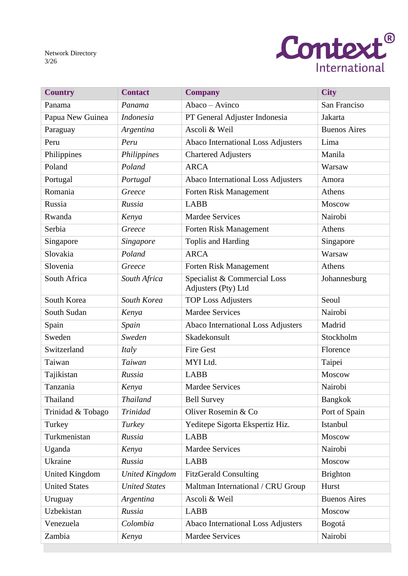Network Directory 3/26



| <b>Country</b>        | <b>Contact</b>        | <b>Company</b>                                      | <b>City</b>         |
|-----------------------|-----------------------|-----------------------------------------------------|---------------------|
| Panama                | Panama                | Abaco - Avinco                                      | San Franciso        |
| Papua New Guinea      | Indonesia             | PT General Adjuster Indonesia                       | Jakarta             |
| Paraguay              | Argentina             | Ascoli & Weil                                       | <b>Buenos Aires</b> |
| Peru                  | Peru                  | Abaco International Loss Adjusters                  | Lima                |
| Philippines           | Philippines           | <b>Chartered Adjusters</b>                          | Manila              |
| Poland                | Poland                | <b>ARCA</b>                                         | Warsaw              |
| Portugal              | Portugal              | Abaco International Loss Adjusters                  | Amora               |
| Romania               | Greece                | Forten Risk Management                              | Athens              |
| Russia                | Russia                | <b>LABB</b>                                         | Moscow              |
| Rwanda                | Kenya                 | <b>Mardee Services</b>                              | Nairobi             |
| Serbia                | Greece                | Forten Risk Management                              | Athens              |
| Singapore             | Singapore             | Toplis and Harding                                  | Singapore           |
| Slovakia              | Poland                | <b>ARCA</b>                                         | Warsaw              |
| Slovenia              | Greece                | Forten Risk Management                              | Athens              |
| South Africa          | South Africa          | Specialist & Commercial Loss<br>Adjusters (Pty) Ltd | Johannesburg        |
| South Korea           | South Korea           | <b>TOP Loss Adjusters</b>                           | Seoul               |
| South Sudan           | Kenya                 | <b>Mardee Services</b>                              | Nairobi             |
| Spain                 | Spain                 | Abaco International Loss Adjusters                  | Madrid              |
| Sweden                | Sweden                | Skadekonsult                                        | Stockholm           |
| Switzerland           | Italy                 | <b>Fire Gest</b>                                    | Florence            |
| Taiwan                | Taiwan                | MYI Ltd.                                            | Taipei              |
| Tajikistan            | Russia                | <b>LABB</b>                                         | Moscow              |
| Tanzania              | Kenya                 | <b>Mardee Services</b>                              | Nairobi             |
| Thailand              | <b>Thailand</b>       | <b>Bell Survey</b>                                  | <b>Bangkok</b>      |
| Trinidad & Tobago     | <b>Trinidad</b>       | Oliver Rosemin & Co                                 | Port of Spain       |
| Turkey                | Turkey                | Yeditepe Sigorta Ekspertiz Hiz.                     | Istanbul            |
| Turkmenistan          | Russia                | <b>LABB</b>                                         | Moscow              |
| Uganda                | Kenya                 | <b>Mardee Services</b>                              | Nairobi             |
| Ukraine               | Russia                | <b>LABB</b>                                         | Moscow              |
| <b>United Kingdom</b> | <b>United Kingdom</b> | <b>FitzGerald Consulting</b>                        | <b>Brighton</b>     |
| <b>United States</b>  | <b>United States</b>  | Maltman International / CRU Group                   | Hurst               |
| Uruguay               | Argentina             | Ascoli & Weil                                       | <b>Buenos Aires</b> |
| Uzbekistan            | Russia                | <b>LABB</b>                                         | Moscow              |
| Venezuela             | Colombia              | Abaco International Loss Adjusters                  | Bogotá              |
| Zambia                | Kenya                 | <b>Mardee Services</b>                              | Nairobi             |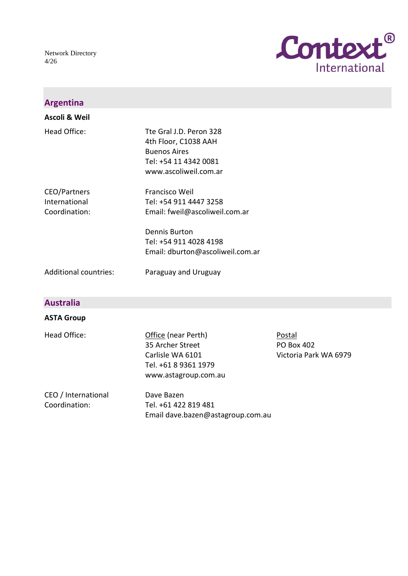Network Directory 4/26



| <b>Argentina</b>                               |                                                                                                                          |                                                      |
|------------------------------------------------|--------------------------------------------------------------------------------------------------------------------------|------------------------------------------------------|
| Ascoli & Weil                                  |                                                                                                                          |                                                      |
| <b>Head Office:</b>                            | Tte Gral J.D. Peron 328<br>4th Floor, C1038 AAH<br><b>Buenos Aires</b><br>Tel: +54 11 4342 0081<br>www.ascoliweil.com.ar |                                                      |
| CEO/Partners<br>International<br>Coordination: | Francisco Weil<br>Tel: +54 911 4447 3258<br>Email: fweil@ascoliweil.com.ar                                               |                                                      |
|                                                | <b>Dennis Burton</b><br>Tel: +54 911 4028 4198<br>Email: dburton@ascoliweil.com.ar                                       |                                                      |
| <b>Additional countries:</b>                   | Paraguay and Uruguay                                                                                                     |                                                      |
| <b>Australia</b>                               |                                                                                                                          |                                                      |
| <b>ASTA Group</b>                              |                                                                                                                          |                                                      |
| Head Office:                                   | Office (near Perth)<br>35 Archer Street<br>Carlisle WA 6101<br>Tel. +61 8 9361 1979<br>www.astagroup.com.au              | Postal<br><b>PO Box 402</b><br>Victoria Park WA 6979 |
| CEO / International<br>Coordination:           | Dave Bazen<br>Tel. +61 422 819 481<br>Email dave.bazen@astagroup.com.au                                                  |                                                      |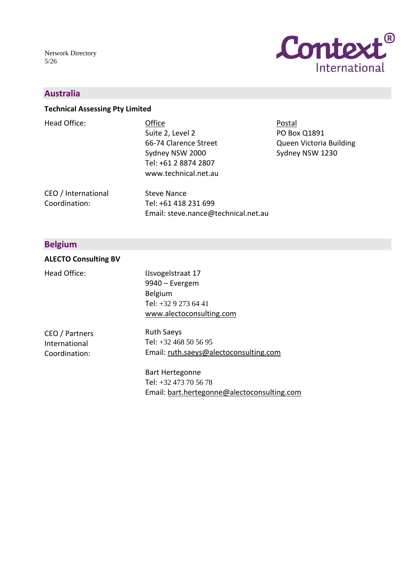Network Directory 5/26



### **Australia**

#### **Technical Assessing Pty Limited**

| Head Office:          | Office                | Postal                  |
|-----------------------|-----------------------|-------------------------|
|                       | Suite 2, Level 2      | PO Box Q1891            |
|                       | 66-74 Clarence Street | Queen Victoria Building |
|                       | Sydney NSW 2000       | Sydney NSW 1230         |
|                       | Tel: +61 2 8874 2807  |                         |
|                       | www.technical.net.au  |                         |
| $CEN$ / International | Stove Nance           |                         |

CEO / International Coordination: Steve Nance Tel: +61 418 231 699 Email: steve.nance@technical.net.au

### **Belgium**

#### **ALECTO Consulting BV**

Head Office:

IJsvogelstraat 17 9940 – Evergem Belgium Tel: +32 9 273 64 41 [www.alectoconsulting.com](http://www.alectoconsulting.com/)

CEO / Partners International Coordination:

Ruth Saeys Tel: +32 468 50 56 95 Email: [ruth.saeys@alectoconsulting.com](mailto:ruth.saeys@alectoconsulting.com)

Bart Hertegonne Tel: +32 473 70 56 78 Email: [bart.hertegonne@alectoconsulting.com](mailto:bart.hertegonne@alectoconsulting.com)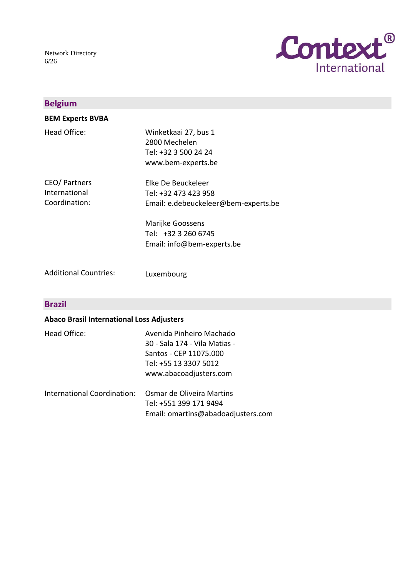

| <b>Belgium</b>                                  |                                                                                                                                                             |
|-------------------------------------------------|-------------------------------------------------------------------------------------------------------------------------------------------------------------|
| <b>BEM Experts BVBA</b>                         |                                                                                                                                                             |
| Head Office:                                    | Winketkaai 27, bus 1<br>2800 Mechelen<br>Tel: +32 3 500 24 24<br>www.bem-experts.be                                                                         |
| CEO/ Partners<br>International<br>Coordination: | Elke De Beuckeleer<br>Tel: +32 473 423 958<br>Email: e.debeuckeleer@bem-experts.be<br>Marijke Goossens<br>Tel: +32 3 260 6745<br>Email: info@bem-experts.be |
| <b>Additional Countries:</b>                    | Luxembourg                                                                                                                                                  |

### **Brazil**

### **Abaco Brasil International Loss Adjusters**

| Head Office:                | Avenida Pinheiro Machado<br>30 - Sala 174 - Vila Matias -<br>Santos - CEP 11075.000<br>Tel: +55 13 3307 5012<br>www.abacoadjusters.com |
|-----------------------------|----------------------------------------------------------------------------------------------------------------------------------------|
| International Coordination: | Osmar de Oliveira Martins<br>Tel: +551 399 171 9494<br>Email: omartins@abadoadjusters.com                                              |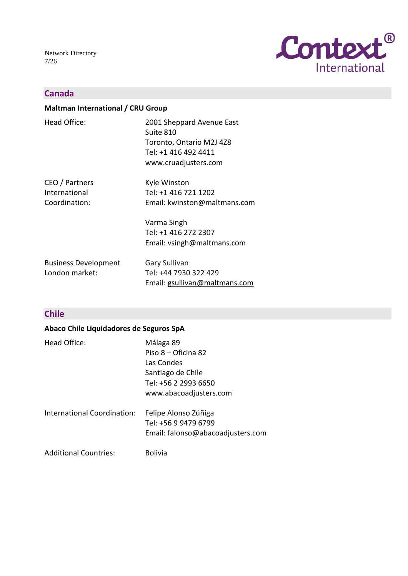Network Directory 7/26



### **Canada**

### **Maltman International / CRU Group**

| Head Office:                                     | 2001 Sheppard Avenue East<br>Suite 810<br>Toronto, Ontario M2J 4Z8<br>Tel: +1 416 492 4411<br>www.cruadjusters.com |
|--------------------------------------------------|--------------------------------------------------------------------------------------------------------------------|
| CEO / Partners<br>International<br>Coordination: | Kyle Winston<br>Tel: +1 416 721 1202<br>Email: kwinston@maltmans.com                                               |
|                                                  | Varma Singh<br>Tel: +1 416 272 2307<br>Email: vsingh@maltmans.com                                                  |
| <b>Business Development</b><br>London market:    | Gary Sullivan<br>Tel: +44 7930 322 429<br>Email: gsullivan@maltmans.com                                            |

# **Chile**

### **Abaco Chile Liquidadores de Seguros SpA**

| Head Office:                 | Málaga 89<br>Piso $8 -$ Oficina 82<br>Las Condes<br>Santiago de Chile<br>Tel: +56 2 2993 6650<br>www.abacoadjusters.com |
|------------------------------|-------------------------------------------------------------------------------------------------------------------------|
| International Coordination:  | Felipe Alonso Zúñiga<br>Tel: +56 9 9479 6799<br>Email: falonso@abacoadjusters.com                                       |
| <b>Additional Countries:</b> | <b>Bolivia</b>                                                                                                          |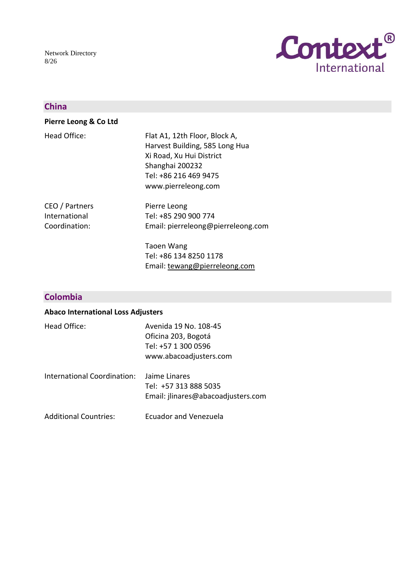Network Directory 8/26



### **China**

#### **Pierre Leong & Co Ltd**

| Head Office: | Flat A1, 12th Floor, Block A,  |
|--------------|--------------------------------|
|              | Harvest Building, 585 Long Hua |
|              | Xi Road, Xu Hui District       |
|              | Shanghai 200232                |
|              | Tel: +86 216 469 9475          |
|              | www.pierreleong.com            |
|              |                                |

CEO / Partners International Coordination:

Pierre Leong Tel: +85 290 900 774 Email: pierreleong@pierreleong.com

Taoen Wang Tel: +86 134 8250 1178 Email: [tewang@pierreleong.com](mailto:tewang@pierreleong.com)

### **Colombia**

### **Abaco International Loss Adjusters**

| Head Office:                 | Avenida 19 No. 108-45<br>Oficina 203, Bogotá<br>Tel: +57 1 300 0596<br>www.abacoadjusters.com |
|------------------------------|-----------------------------------------------------------------------------------------------|
| International Coordination:  | Jaime Linares<br>Tel: +57 313 888 5035<br>Email: jlinares@abacoadjusters.com                  |
| <b>Additional Countries:</b> | Ecuador and Venezuela                                                                         |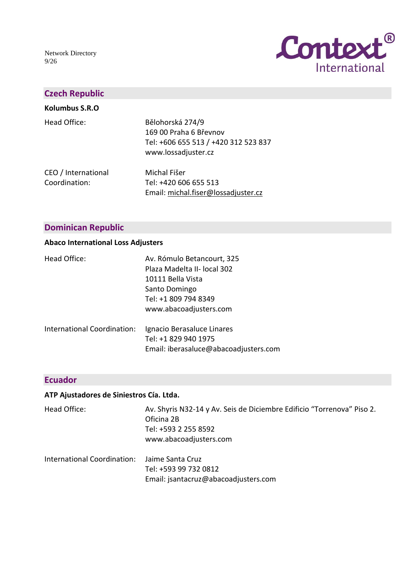Network Directory 9/26



### **Czech Republic**

| Kolumbus S.R.O                       |                                                                                                           |
|--------------------------------------|-----------------------------------------------------------------------------------------------------------|
| Head Office:                         | Bělohorská 274/9<br>169 00 Praha 6 Břevnov<br>Tel: +606 655 513 / +420 312 523 837<br>www.lossadjuster.cz |
| CEO / International<br>Coordination: | Michal Fišer<br>Tel: +420 606 655 513<br>Email: michal.fiser@lossadjuster.cz                              |

### **Dominican Republic**

#### **Abaco International Loss Adjusters**

| Head Office:                | Av. Rómulo Betancourt, 325<br>Plaza Madelta II- local 302<br>10111 Bella Vista<br>Santo Domingo<br>Tel: +1 809 794 8349 |
|-----------------------------|-------------------------------------------------------------------------------------------------------------------------|
| International Coordination: | www.abacoadjusters.com<br>Ignacio Berasaluce Linares<br>Tel: +1 829 940 1975<br>Email: iberasaluce@abacoadjusters.com   |

### **Ecuador**

### **ATP Ajustadores de Siniestros Cía. Ltda.**

| Head Office:                | Av. Shyris N32-14 y Av. Seis de Diciembre Edificio "Torrenova" Piso 2.<br>Oficina 2B<br>Tel: +593 2 255 8592<br>www.abacoadjusters.com |
|-----------------------------|----------------------------------------------------------------------------------------------------------------------------------------|
| International Coordination: | Jaime Santa Cruz<br>Tel: +593 99 732 0812<br>Email: jsantacruz@abacoadjusters.com                                                      |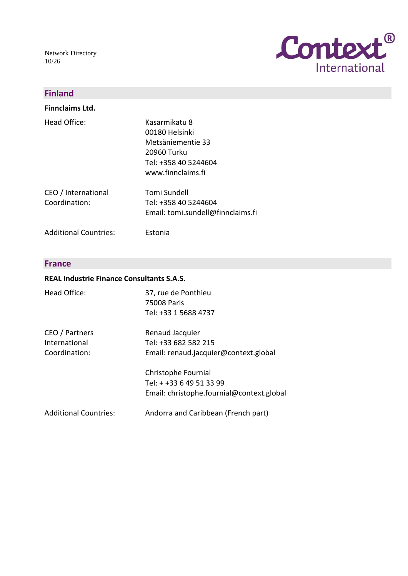Network Directory 10/26



### **Finland**

**Finnclaims Ltd.**

| Head Office:        | Kasarmikatu 8                     |
|---------------------|-----------------------------------|
|                     | 00180 Helsinki                    |
|                     | Metsäniementie 33                 |
|                     | 20960 Turku                       |
|                     | Tel: +358 40 5244604              |
|                     | www.finnclaims.fi                 |
| CEO / International | Tomi Sundell                      |
| Coordination:       | Tel: +358 40 5244604              |
|                     | Email: tomi.sundell@finnclaims.fi |

Additional Countries: Estonia

#### **France**

#### **REAL Industrie Finance Consultants S.A.S.**

| Head Office:                                     | 37, rue de Ponthieu<br>75008 Paris<br>Tel: +33 1 5688 4737                                   |
|--------------------------------------------------|----------------------------------------------------------------------------------------------|
| CEO / Partners<br>International<br>Coordination: | Renaud Jacquier<br>Tel: +33 682 582 215<br>Email: renaud.jacquier@context.global             |
|                                                  | Christophe Fournial<br>Tel: + +33 6 49 51 33 99<br>Email: christophe.fournial@context.global |
| <b>Additional Countries:</b>                     | Andorra and Caribbean (French part)                                                          |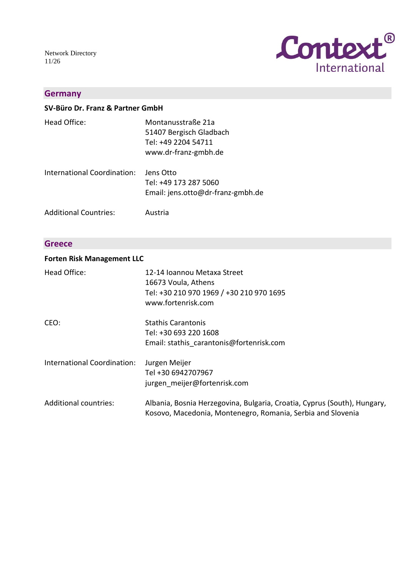Network Directory 11/26



### **Germany**

|  | SV-Büro Dr. Franz & Partner GmbH |
|--|----------------------------------|
|--|----------------------------------|

| Head Office: | Montanusstraße 21a      |
|--------------|-------------------------|
|              | 51407 Bergisch Gladbach |
|              | Tel: +49 2204 54711     |
|              | www.dr-franz-gmbh.de    |
|              |                         |

International Coordination: Jens Otto Tel: +49 173 287 5060 Email: jens.otto@dr-franz-gmbh.de

Additional Countries: Austria

### **Greece**

#### **Forten Risk Management LLC**

| Head Office:                 | 12-14 Ioannou Metaxa Street<br>16673 Voula, Athens<br>Tel: +30 210 970 1969 / +30 210 970 1695<br>www.fortenrisk.com                    |
|------------------------------|-----------------------------------------------------------------------------------------------------------------------------------------|
| CEO:                         | <b>Stathis Carantonis</b><br>Tel: +30 693 220 1608<br>Email: stathis carantonis@fortenrisk.com                                          |
| International Coordination:  | Jurgen Meijer<br>Tel +30 6942707967<br>jurgen meijer@fortenrisk.com                                                                     |
| <b>Additional countries:</b> | Albania, Bosnia Herzegovina, Bulgaria, Croatia, Cyprus (South), Hungary,<br>Kosovo, Macedonia, Montenegro, Romania, Serbia and Slovenia |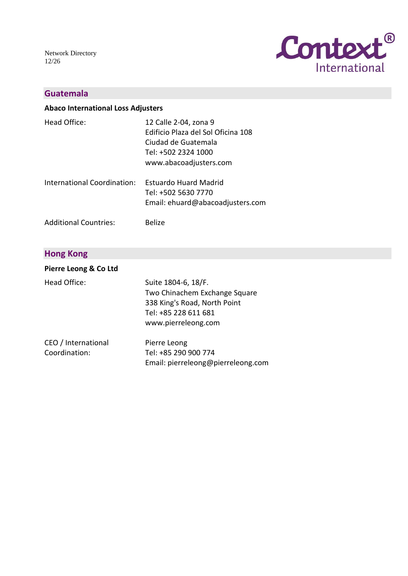Network Directory 12/26



### **Guatemala**

#### **Abaco International Loss Adjusters**

| Head Office:                                      | 12 Calle 2-04, zona 9<br>Edificio Plaza del Sol Oficina 108<br>Ciudad de Guatemala<br>Tel: +502 2324 1000<br>www.abacoadjusters.com |
|---------------------------------------------------|-------------------------------------------------------------------------------------------------------------------------------------|
| International Coordination: Estuardo Huard Madrid |                                                                                                                                     |

| international Coordination. | – ESLUATUO HUJIU MIJUILU         |
|-----------------------------|----------------------------------|
|                             | Tel: +502 5630 7770              |
|                             | Email: ehuard@abacoadjusters.com |

Belize

Additional Countries:

### **Hong Kong**

| Pierre Leong & Co Ltd                |                                                                                                                                     |
|--------------------------------------|-------------------------------------------------------------------------------------------------------------------------------------|
| Head Office:                         | Suite 1804-6, 18/F.<br>Two Chinachem Exchange Square<br>338 King's Road, North Point<br>Tel: +85 228 611 681<br>www.pierreleong.com |
| CEO / International<br>Coordination: | Pierre Leong<br>Tel: +85 290 900 774<br>Email: pierreleong@pierreleong.com                                                          |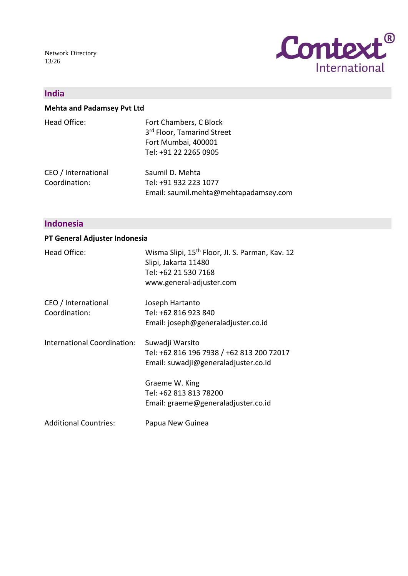Network Directory 13/26



### **India**

### **Mehta and Padamsey Pvt Ltd**

| Head Office:                         | Fort Chambers, C Block<br>3rd Floor, Tamarind Street<br>Fort Mumbai, 400001<br>Tel: +91 22 2265 0905 |
|--------------------------------------|------------------------------------------------------------------------------------------------------|
| CEO / International<br>Coordination: | Saumil D. Mehta<br>Tel: +91 932 223 1077<br>Email: saumil.mehta@mehtapadamsey.com                    |

### **Indonesia**

### **PT General Adjuster Indonesia**

| Head Office:                 | Wisma Slipi, 15 <sup>th</sup> Floor, Jl. S. Parman, Kav. 12<br>Slipi, Jakarta 11480<br>Tel: +62 21 530 7168 |
|------------------------------|-------------------------------------------------------------------------------------------------------------|
|                              | www.general-adjuster.com                                                                                    |
| CEO / International          | Joseph Hartanto                                                                                             |
| Coordination:                | Tel: +62 816 923 840                                                                                        |
|                              | Email: joseph@generaladjuster.co.id                                                                         |
| International Coordination:  | Suwadji Warsito<br>Tel: +62 816 196 7938 / +62 813 200 72017<br>Email: suwadji@generaladjuster.co.id        |
|                              | Graeme W. King                                                                                              |
|                              | Tel: +62 813 813 78200                                                                                      |
|                              | Email: graeme@generaladjuster.co.id                                                                         |
| <b>Additional Countries:</b> | Papua New Guinea                                                                                            |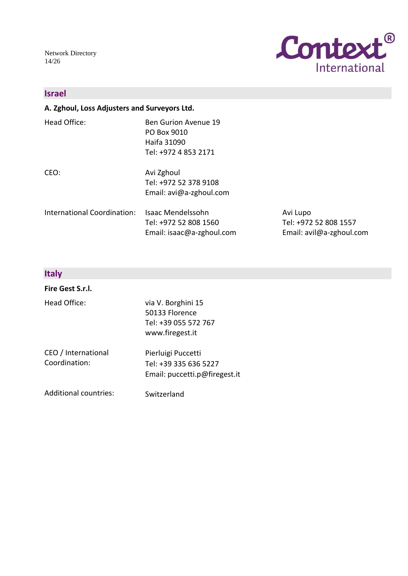Network Directory 14/26



### **Israel**

### **A. Zghoul, Loss Adjusters and Surveyors Ltd.**

| Head Office:                | <b>Ben Gurion Avenue 19</b><br>PO Box 9010<br>Haifa 31090<br>Tel: +972 4 853 2171 |                                                               |
|-----------------------------|-----------------------------------------------------------------------------------|---------------------------------------------------------------|
| CEO:                        | Avi Zghoul<br>Tel: +972 52 378 9108<br>Email: avi@a-zghoul.com                    |                                                               |
| International Coordination: | Isaac Mendelssohn<br>Tel: +972 52 808 1560<br>Email: isaac@a-zghoul.com           | Avi Lupo<br>Tel: +972 52 808 1557<br>Email: avil@a-zghoul.com |

### **Italy**

### **Fire Gest S.r.l.**

| Head Office:                         | via V. Borghini 15<br>50133 Florence<br>Tel: +39 055 572 767<br>www.firegest.it |
|--------------------------------------|---------------------------------------------------------------------------------|
| CEO / International<br>Coordination: | Pierluigi Puccetti<br>Tel: +39 335 636 5227<br>Email: puccetti.p@firegest.it    |

Additional countries: Switzerland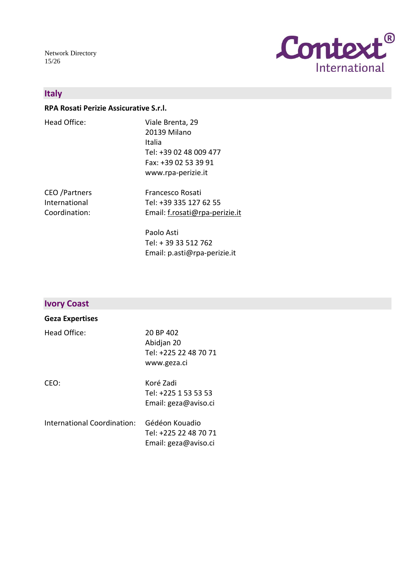Network Directory 15/26



### **Italy**

#### **RPA Rosati Perizie Assicurative S.r.l.**

| Head Office: | Viale Brenta, 29       |
|--------------|------------------------|
|              | 20139 Milano           |
|              | Italia                 |
|              | Tel: +39 02 48 009 477 |
|              | Fax: +39 02 53 39 91   |
|              | www.rpa-perizie.it     |
|              |                        |

CEO /Partners International Coordination: Francesco Rosati Tel: +39 335 127 62 55 Email: [f.rosati@rpa-perizie.it](mailto:f.rosati@rpa-perizie.it)

> Paolo Asti Tel: + 39 33 512 762 Email: p.asti@rpa-perizie.it

### **Ivory Coast**

#### **Geza Expertises**

| Head Office:                | 20 BP 402<br>Abidjan 20<br>Tel: +225 22 48 70 71<br>www.geza.ci |
|-----------------------------|-----------------------------------------------------------------|
| CEO:                        | Koré Zadi<br>Tel: +225 1 53 53 53<br>Email: geza@aviso.ci       |
| International Coordination: | Gédéon Kouadio<br>Tel: +225 22 48 70 71<br>Email: geza@aviso.ci |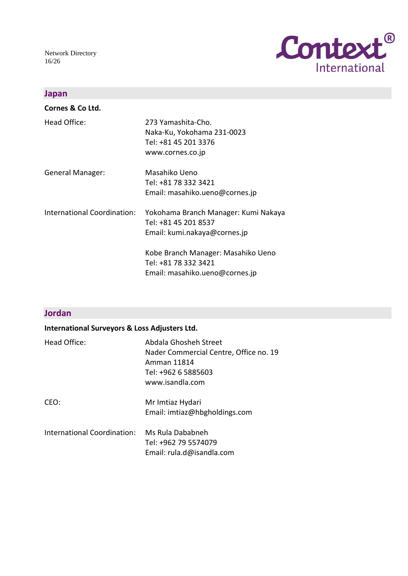Network Directory 16/26



### **Japan**

| Cornes & Co Ltd.            |                                                                                              |
|-----------------------------|----------------------------------------------------------------------------------------------|
| Head Office:                | 273 Yamashita-Cho.<br>Naka-Ku, Yokohama 231-0023<br>Tel: +81 45 201 3376<br>www.cornes.co.jp |
| <b>General Manager:</b>     | Masahiko Ueno<br>Tel: +81 78 332 3421<br>Email: masahiko.ueno@cornes.jp                      |
| International Coordination: | Yokohama Branch Manager: Kumi Nakaya<br>Tel: +81 45 201 8537<br>Email: kumi.nakaya@cornes.jp |
|                             | Kobe Branch Manager: Masahiko Ueno<br>Tel: +81 78 332 3421<br>Email: masahiko.ueno@cornes.jp |

### **Jordan**

| <b>International Surveyors &amp; Loss Adjusters Ltd.</b> |                                                                                                                          |
|----------------------------------------------------------|--------------------------------------------------------------------------------------------------------------------------|
| Head Office:                                             | Abdala Ghosheh Street<br>Nader Commercial Centre, Office no. 19<br>Amman 11814<br>Tel: +962 6 5885603<br>www.isandla.com |
| CEO:                                                     | Mr Imtiaz Hydari<br>Email: imtiaz@hbgholdings.com                                                                        |
| International Coordination:                              | Ms Rula Dababneh<br>Tel: +962 79 5574079<br>Email: rula.d@isandla.com                                                    |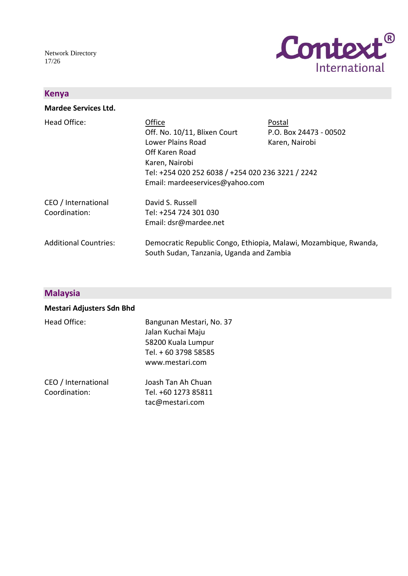Network Directory 17/26



### **Kenya**

**Mardee Services Ltd.**

| Head Office:                         | Office<br>Off. No. 10/11, Blixen Court                                                                                                        | Postal<br>P.O. Box 24473 - 00502 |
|--------------------------------------|-----------------------------------------------------------------------------------------------------------------------------------------------|----------------------------------|
|                                      | Lower Plains Road<br>Off Karen Road<br>Karen, Nairobi<br>Tel: +254 020 252 6038 / +254 020 236 3221 / 2242<br>Email: mardeeservices@yahoo.com | Karen, Nairobi                   |
| CEO / International<br>Coordination: | David S. Russell<br>Tel: +254 724 301 030<br>Email: dsr@mardee.net                                                                            |                                  |
| <b>Additional Countries:</b>         | Democratic Republic Congo, Ethiopia, Malawi, Mozambique, Rwanda,<br>South Sudan, Tanzania, Uganda and Zambia                                  |                                  |

## **Malaysia**

| <b>Mestari Adjusters Sdn Bhd</b> |                                                                                                                |
|----------------------------------|----------------------------------------------------------------------------------------------------------------|
| Head Office:                     | Bangunan Mestari, No. 37<br>Jalan Kuchai Maju<br>58200 Kuala Lumpur<br>Tel. + 60 3798 58585<br>www.mestari.com |
|                                  | $\blacksquare$ $\blacksquare$ $\blacksquare$ $\blacksquare$ $\blacksquare$                                     |

| CEO / International | Joash Tan Ah Chuan  |
|---------------------|---------------------|
| Coordination:       | Tel. +60 1273 85811 |
|                     | tac@mestari.com     |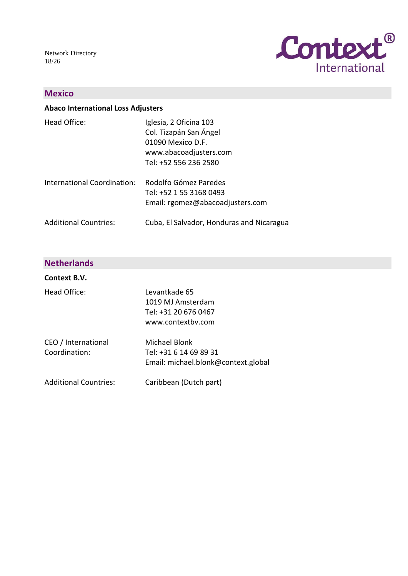Network Directory 18/26



### **Mexico**

#### **Abaco International Loss Adjusters**

| Head Office:                 | Iglesia, 2 Oficina 103<br>Col. Tizapán San Ángel<br>01090 Mexico D.F.<br>www.abacoadjusters.com<br>Tel: +52 556 236 2580 |
|------------------------------|--------------------------------------------------------------------------------------------------------------------------|
| International Coordination:  | Rodolfo Gómez Paredes<br>Tel: +52 1 55 3168 0493<br>Email: rgomez@abacoadjusters.com                                     |
| <b>Additional Countries:</b> | Cuba, El Salvador, Honduras and Nicaragua                                                                                |

### **Netherlands**

#### **Context B.V.** Head Office: CEO / International Coordination: Additional Countries: Levantkade 65 1019 MJ Amsterdam Tel: +31 20 676 0467 www.contextbv.com Michael Blonk Tel: +31 6 14 69 89 31 Email: michael.blonk@context.global Caribbean (Dutch part)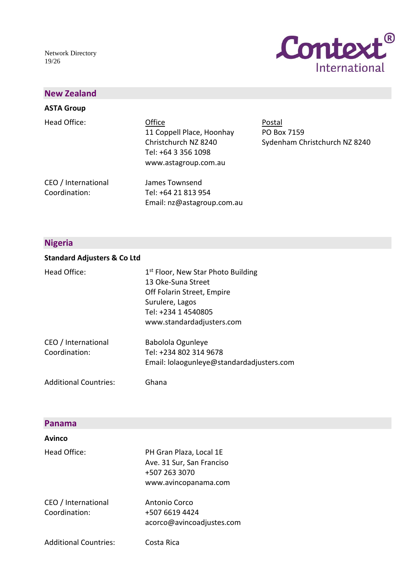Network Directory 19/26



### **New Zealand**

### **ASTA Group**

Head Office:

Office Postal 11 Coppell Place, Hoonhay PO Box 7159 Tel: +64 3 356 1098 www.astagroup.com.au

Christchurch NZ 8240 Sydenham Christchurch NZ 8240

CEO / International Coordination:

James Townsend Tel: +64 21 813 954 Email: nz@astagroup.com.au

### **Nigeria**

#### **Standard Adjusters & Co Ltd**

Head Office:

|                 | 1 <sup>st</sup> Floor, New Star Photo Building |
|-----------------|------------------------------------------------|
|                 | 13 Oke-Suna Street                             |
|                 | Off Folarin Street, Empire                     |
| Surulere, Lagos |                                                |
|                 | Tel: +234 1 4540805                            |
|                 | www.standardadjusters.com                      |

| Babolola Ogunleye                         |
|-------------------------------------------|
| Tel: +234 802 314 9678                    |
| Email: lolaogunleye@standardadjusters.com |
|                                           |

Ghana

Additional Countries:

#### **Panama**

#### **Avinco**

| Head Office:                         | PH Gran Plaza, Local 1E<br>Ave. 31 Sur, San Franciso<br>+507 263 3070<br>www.avincopanama.com |
|--------------------------------------|-----------------------------------------------------------------------------------------------|
| CEO / International<br>Coordination: | Antonio Corco<br>+507 6619 4424<br>acorco@avincoadjustes.com                                  |
| <b>Additional Countries:</b>         | Costa Rica                                                                                    |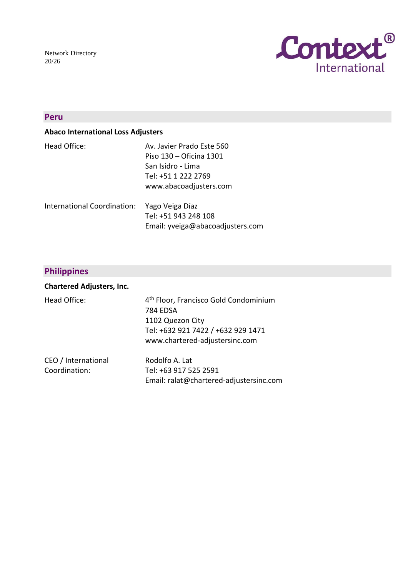Network Directory 20/26



### **Peru**

### **Abaco International Loss Adjusters**

| Head Office:                                | Av. Javier Prado Este 560 |
|---------------------------------------------|---------------------------|
|                                             | Piso 130 – Oficina 1301   |
|                                             | San Isidro - Lima         |
|                                             | Tel: +51 1 222 2769       |
|                                             | www.abacoadjusters.com    |
| International Coordination: Yago Veiga Díaz |                           |

| nternational Coordination: | Yago Veiga Diaz                  |
|----------------------------|----------------------------------|
|                            | Tel: +51 943 248 108             |
|                            | Email: yveiga@abacoadjusters.com |

# **Philippines**

| <b>Chartered Adjusters, Inc.</b>     |                                                                                                                                                                  |
|--------------------------------------|------------------------------------------------------------------------------------------------------------------------------------------------------------------|
| Head Office:                         | 4 <sup>th</sup> Floor, Francisco Gold Condominium<br><b>784 EDSA</b><br>1102 Quezon City<br>Tel: +632 921 7422 / +632 929 1471<br>www.chartered-adjustersinc.com |
| CEO / International<br>Coordination: | Rodolfo A. Lat<br>Tel: +63 917 525 2591<br>Email: ralat@chartered-adjustersinc.com                                                                               |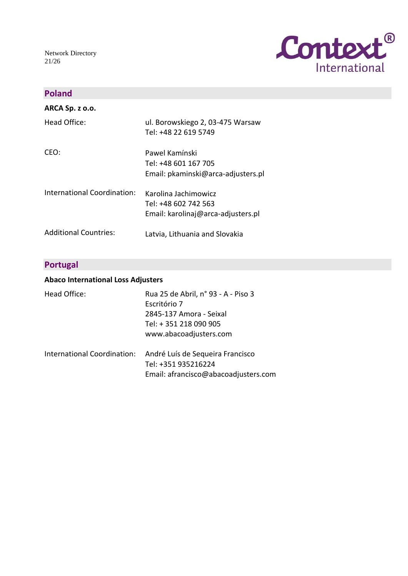Network Directory 21/26



### **Poland**

| ARCA Sp. z o.o.              |                                    |
|------------------------------|------------------------------------|
| Head Office:                 | ul. Borowskiego 2, 03-475 Warsaw   |
|                              | Tel: +48 22 619 5749               |
| CEO:                         | Pawel Kamínski                     |
|                              | Tel: +48 601 167 705               |
|                              | Email: pkaminski@arca-adjusters.pl |
| International Coordination:  | Karolina Jachimowicz               |
|                              | Tel: +48 602 742 563               |
|                              | Email: karolinaj@arca-adjusters.pl |
| <b>Additional Countries:</b> | Latvia, Lithuania and Slovakia     |

### **Portugal**

### **Abaco International Loss Adjusters**

| Head Office:                | Rua 25 de Abril, nº 93 - A - Piso 3<br>Escritório 7<br>2845-137 Amora - Seixal<br>Tel: +351 218 090 905<br>www.abacoadjusters.com |
|-----------------------------|-----------------------------------------------------------------------------------------------------------------------------------|
| International Coordination: | André Luís de Sequeira Francisco<br>Tel: +351 935216224<br>Email: afrancisco@abacoadjusters.com                                   |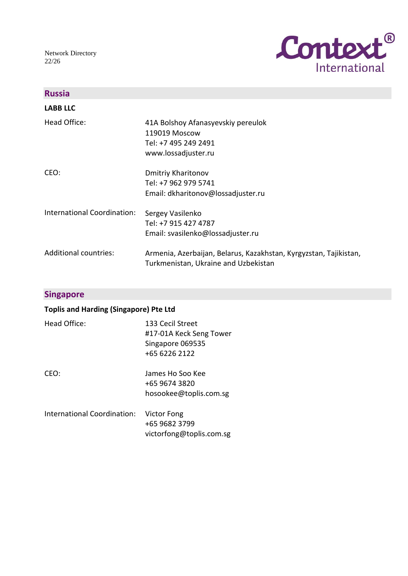Network Directory 22/26



| <b>Russia</b>                |                                                                                                           |
|------------------------------|-----------------------------------------------------------------------------------------------------------|
| <b>LABB LLC</b>              |                                                                                                           |
| Head Office:                 | 41A Bolshoy Afanasyevskiy pereulok<br>119019 Moscow<br>Tel: +7 495 249 2491<br>www.lossadjuster.ru        |
| CEO:                         | <b>Dmitriy Kharitonov</b><br>Tel: +7 962 979 5741<br>Email: dkharitonov@lossadjuster.ru                   |
| International Coordination:  | Sergey Vasilenko<br>Tel: +7 915 427 4787<br>Email: svasilenko@lossadjuster.ru                             |
| <b>Additional countries:</b> | Armenia, Azerbaijan, Belarus, Kazakhstan, Kyrgyzstan, Tajikistan,<br>Turkmenistan, Ukraine and Uzbekistan |

### **Singapore**

### **Toplis and Harding (Singapore) Pte Ltd**

| Head Office:                | 133 Cecil Street<br>#17-01A Keck Seng Tower<br>Singapore 069535<br>+65 6226 2122 |
|-----------------------------|----------------------------------------------------------------------------------|
| CEO:                        | James Ho Soo Kee<br>+65 9674 3820<br>hosookee@toplis.com.sg                      |
| International Coordination: | Victor Fong<br>+65 9682 3799<br>victorfong@toplis.com.sg                         |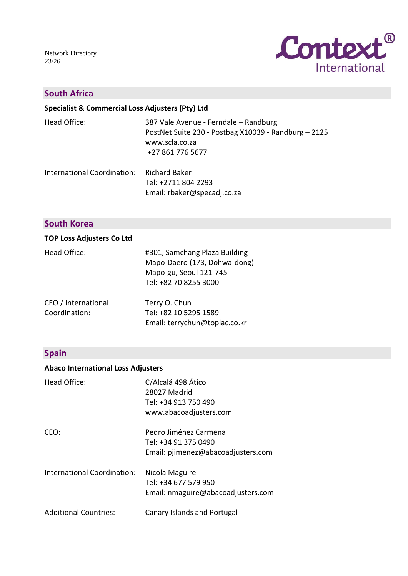Network Directory 23/26



### **South Africa**

**Specialist & Commercial Loss Adjusters (Pty) Ltd**

| Head Office:                              | 387 Vale Avenue - Ferndale - Randburg<br>PostNet Suite 230 - Postbag X10039 - Randburg - 2125<br>www.scla.co.za<br>+27 861 776 5677 |
|-------------------------------------------|-------------------------------------------------------------------------------------------------------------------------------------|
| International Coordination: Richard Baker |                                                                                                                                     |

Tel: +2711 804 2293 Email: rbaker@specadj.co.za

### **South Korea**

### **TOP Loss Adjusters Co Ltd**

| Head Office: | #301, Samchang Plaza Building |
|--------------|-------------------------------|
|              | Mapo-Daero (173, Dohwa-dong)  |
|              | Mapo-gu, Seoul 121-745        |
|              | Tel: +82 70 8255 3000         |
|              |                               |

| CEO / International | Terry O. Chun                 |
|---------------------|-------------------------------|
| Coordination:       | Tel: +82 10 5295 1589         |
|                     | Email: terrychun@toplac.co.kr |

### **Spain**

### **Abaco International Loss Adjusters**

| Head Office:                       | C/Alcalá 498 Ático<br>28027 Madrid<br>Tel: +34 913 750 490<br>www.abacoadjusters.com |
|------------------------------------|--------------------------------------------------------------------------------------|
| CEO:                               | Pedro Jiménez Carmena<br>Tel: +34 91 375 0490<br>Email: pjimenez@abacoadjusters.com  |
| <b>International Coordination:</b> | Nicola Maguire<br>Tel: +34 677 579 950<br>Email: nmaguire@abacoadjusters.com         |
| <b>Additional Countries:</b>       | Canary Islands and Portugal                                                          |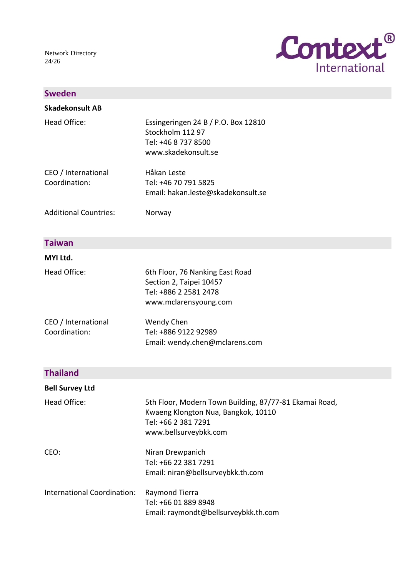Network Directory 24/26



### **Sweden**

| Skadekonsult AB                      |                                                                                                       |
|--------------------------------------|-------------------------------------------------------------------------------------------------------|
| Head Office:                         | Essingeringen 24 B / P.O. Box 12810<br>Stockholm 112 97<br>Tel: +46 8 737 8500<br>www.skadekonsult.se |
| CEO / International<br>Coordination: | Håkan Leste<br>Tel: +46 70 791 5825<br>Email: hakan.leste@skadekonsult.se                             |
| <b>Additional Countries:</b>         | Norway                                                                                                |

#### **Taiwan**

#### **MYI Ltd.**

| Head Office:                         | 6th Floor, 76 Nanking East Road<br>Section 2, Taipei 10457<br>Tel: +886 2 2581 2478<br>www.mclarensyoung.com |
|--------------------------------------|--------------------------------------------------------------------------------------------------------------|
| CEO / International<br>Coordination: | Wendy Chen<br>Tel: +886 9122 92989<br>Email: wendy.chen@mclarens.com                                         |

# **Thailand**

| <b>Bell Survey Ltd</b>      |                                                                                                                                               |
|-----------------------------|-----------------------------------------------------------------------------------------------------------------------------------------------|
| Head Office:                | 5th Floor, Modern Town Building, 87/77-81 Ekamai Road,<br>Kwaeng Klongton Nua, Bangkok, 10110<br>Tel: +66 2 381 7291<br>www.bellsurveybkk.com |
| CEO:                        | Niran Drewpanich<br>Tel: +66 22 381 7291<br>Email: niran@bellsurveybkk.th.com                                                                 |
| International Coordination: | Raymond Tierra<br>Tel: +66 01 889 8948<br>Email: raymondt@bellsurveybkk.th.com                                                                |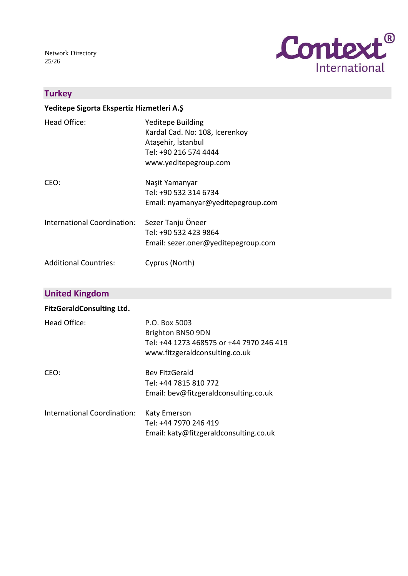Network Directory 25/26



### **Turkey**

### **Yeditepe Sigorta Ekspertiz Hizmetleri A.Ş**

| Head Office:                 | <b>Yeditepe Building</b><br>Kardal Cad. No: 108, Icerenkoy<br>Ataşehir, İstanbul<br>Tel: +90 216 574 4444<br>www.yeditepegroup.com |
|------------------------------|------------------------------------------------------------------------------------------------------------------------------------|
| CEO:                         | Naşit Yamanyar<br>Tel: +90 532 314 6734<br>Email: nyamanyar@yeditepegroup.com                                                      |
| International Coordination:  | Sezer Tanju Öneer<br>Tel: +90 532 423 9864<br>Email: sezer.oner@yeditepegroup.com                                                  |
| <b>Additional Countries:</b> | Cyprus (North)                                                                                                                     |

### **United Kingdom**

### **FitzGeraldConsulting Ltd.**

| Head Office:                       | P.O. Box 5003<br>Brighton BN50 9DN<br>Tel: +44 1273 468575 or +44 7970 246 419<br>www.fitzgeraldconsulting.co.uk |
|------------------------------------|------------------------------------------------------------------------------------------------------------------|
| CEO:                               | <b>Bev FitzGerald</b><br>Tel: +44 7815 810 772<br>Email: bev@fitzgeraldconsulting.co.uk                          |
| <b>International Coordination:</b> | <b>Katy Emerson</b><br>Tel: +44 7970 246 419<br>Email: katy@fitzgeraldconsulting.co.uk                           |